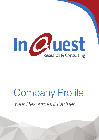

## Company Profile *Your Resourceful Partner…*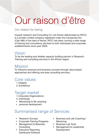# Our raison d'être

#### Our reason for being

Inquest research and Consulting Co. Ltd (herein abbreviated as IRCC) is a private Limited company registered under the Companies Act (Cap 486) of the laws of Kenya. IRCC has been running a wide range of training and consultancy services to both individuals and corporate establishments since year 2009.

#### Vision

To be the leading and reliable capacity building partner in Research, Training and consulting services in the African region.

### Mission

To influence personal and business success through value based approaches and offering one-stop consulting services.

### Core values

- 1. Integrity
- 2. Excellence

#### Target market

- 1. Corporate Organizations
- 2. Individuals.
- Mentorship & life coaching
- • personal development

### Summarised range of Services

- Research Surveys
- • Corporate Training Programs
- Management & Business **Consulting**
- Executive Reporting Dashboard Software
- • Business and Life Coaching / **Mentoring**
- • Business Lab Tools
- Management & Leadership Development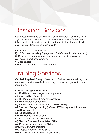### Research Services

Our Research Goal To develop innovative Research Models that leverage business insights and provide reliable and timely information that influence strategic decision making and organizational market leadership. Current Research services include

- i) Customer satisfaction surveys
- ii) HR Surveys (Including Engagement, Satisfaction, Morale Index etc)
- iii) Baseline research surveys for new projects, business products.
- iv) Project impact assessments.
- v) Case studies
- vi) Other client driven research interests.

### Training Services

**Our Training Goal**: Design, Develop and Deliver relevant training programs and provide an effective training process for organizations and individuals.

Current Training services include

- (i) HR skills for line managers and supervisors
- (ii) Advanced Ms. Excel Skills
- (iii) HR Data Modeling & predictive Analytics
- (iv) Performance Management
- (v) Financial modeling (using advanced Ms. Excel)
- (vi) The New Manager training (InQuest JET Management & Leadership Development)
- (vii) Supervisory Skills
- (viii) Monitoring and Evaluation
- (ix) Personal & Career development
- (x) Effective Business Presentation Skills
- (xi) Personal Finance Success Skills
- (Inc. Pre-retirement programs)
- (xii) Project Proposal Writing Skills
- (xiii) Creativity, Innovation & Design thinking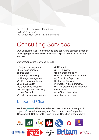(xiv) Effective Customer Experience (xv) Team Building (xvi) Other client driven training services

## Consulting Services

Our Consulting Goal: To offer a one stop consulting services aimed at attaining organizational efficiencies and explore potential for market success.

Current Consulting Services include

- i) Projects management ii) Business process optimizations. iii) Strategic Planning iv) Change management v) HRIS Implementation vi) Job Evaluation vii) Operations research. viii) Strategic HR consulting ix) Job Evaluation
- x) Performance management

### Esteemed Clients

xi) HR audit xii) HR surveys xiii) Financial modeling xiv) Data Analysis & Quality Audit xv) Executive Reporting Dashboard Software. xvi) Career Advise, Personal xvii) Development and Personal **Effectiveness** xviii) Other client driven consultancy services.

We have trained with measurable success, staff from a sample of organizations below ranging from Banks, Insurance Companies, Government, Not for Profit Organizations, Churches among others.

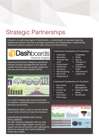## Strategic Partnerships

InQuest is an authorised agent of iDashboards, a market leader in executive reporting dashboards software. We have a strategic partnership with iDashboards in implementing dashboard software solutions in the region (East and Central Africa).

### **Dashboards** Powerful Insights

iDashboards business intelligence dashboard software provides managemnet with real-tim visibility into their data and greater insight into their key performance indicators (KPIs).



In a world of endless data sources and backend systems, establishing direct connections for decisions can be tricky.

iDashboards makes it easy to connect directly to your back-end and turn data into decisions.

#### Enhancing Business and Visual **INTELLIGENCE**

We offer seamless integration with any data sources, market edge insights, training and support services and partner with organisations desirng to leverage their market leadership throgh data insights

Customised Visualisations for industries:

- **Industries**
- Education
- **Financial Ser**vices
- **Government**
- **Healthcare**
- **Insurance**
- **Manufacturing**
- Non-profit
- Restaurant &

Customised Visualisations for Functions:

- **Call Centre**
- **Finance**
- **Human Re**sources
- **Operations** Management

**Hospitality** 

Transport & **Logistics Energy and** 

**Telecommuni**cations etc

**Utility** 

• Retail **Sports** 

- Sales and Marketing
- **Information Technology**
- **Scorecards**